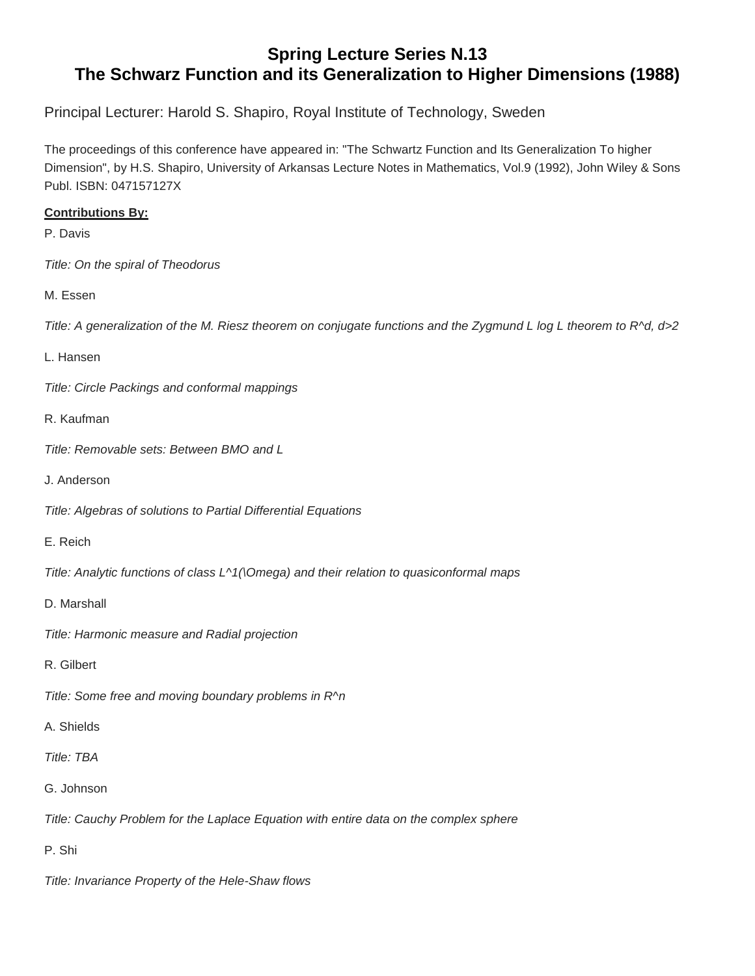## **Spring Lecture Series N.13 The Schwarz Function and its Generalization to Higher Dimensions (1988)**

Principal Lecturer: Harold S. Shapiro, Royal Institute of Technology, Sweden

The proceedings of this conference have appeared in: "The Schwartz Function and Its Generalization To higher Dimension", by H.S. Shapiro, University of Arkansas Lecture Notes in Mathematics, Vol.9 (1992), John Wiley & Sons Publ. ISBN: 047157127X

## **Contributions By:**

P. Davis

*Title: On the spiral of Theodorus*

M. Essen

Title: A generalization of the M. Riesz theorem on conjugate functions and the Zygmund L log L theorem to R^d, d>2

L. Hansen

*Title: Circle Packings and conformal mappings*

R. Kaufman

*Title: Removable sets: Between BMO and L*

J. Anderson

*Title: Algebras of solutions to Partial Differential Equations*

E. Reich

*Title: Analytic functions of class L^1(\Omega) and their relation to quasiconformal maps*

D. Marshall

*Title: Harmonic measure and Radial projection*

R. Gilbert

*Title: Some free and moving boundary problems in R^n*

A. Shields

*Title: TBA*

G. Johnson

*Title: Cauchy Problem for the Laplace Equation with entire data on the complex sphere*

P. Shi

*Title: Invariance Property of the Hele-Shaw flows*